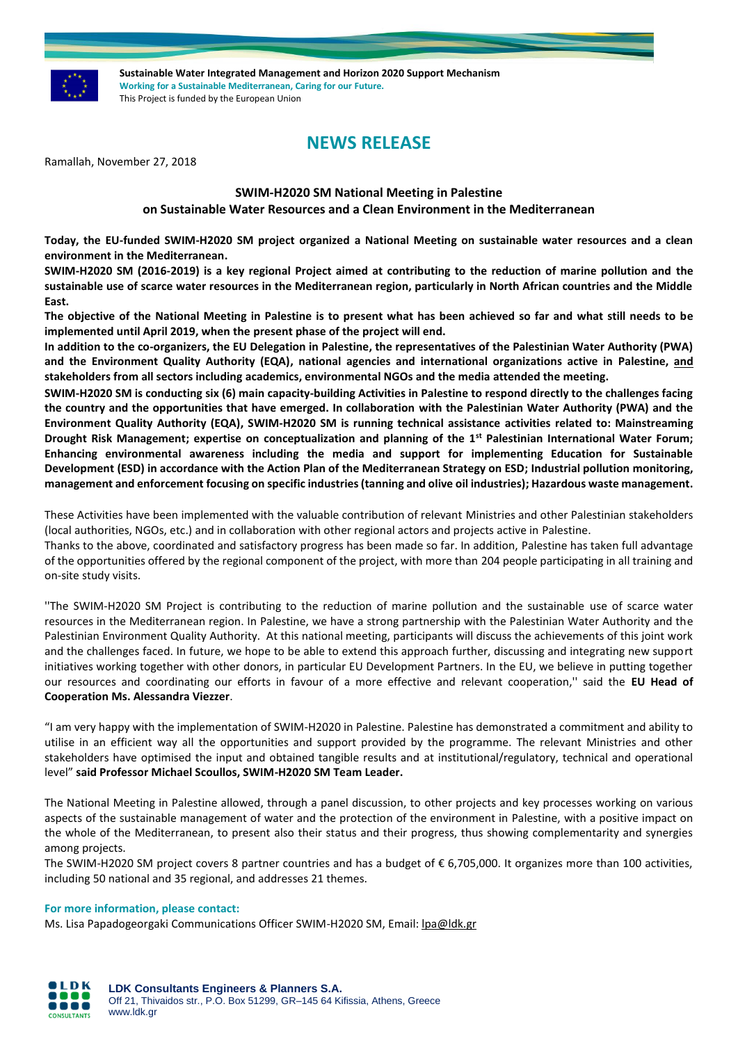

**Sustainable Water Integrated Management and Horizon 2020 Support Mechanism Working for a Sustainable Mediterranean, Caring for our Future.**  This Project is funded by the European Union

# **NEWS RELEASE**

Ramallah, November 27, 2018

# **SWIM-H2020 SM National Meeting in Palestine**

## **on Sustainable Water Resources and a Clean Environment in the Mediterranean**

**Today, the EU-funded SWIM-H2020 SM project organized a National Meeting on sustainable water resources and a clean environment in the Mediterranean.**

**SWIM-H2020 SM (2016-2019) is a key regional Project aimed at contributing to the reduction of marine pollution and the sustainable use of scarce water resources in the Mediterranean region, particularly in North African countries and the Middle East.**

**The objective of the National Meeting in Palestine is to present what has been achieved so far and what still needs to be implemented until April 2019, when the present phase of the project will end.**

**In addition to the co-organizers, the EU Delegation in Palestine, the representatives of the Palestinian Water Authority (PWA) and the Environment Quality Authority (EQA), national agencies and international organizations active in Palestine, and stakeholders from all sectors including academics, environmental NGOs and the media attended the meeting.**

**SWIM-H2020 SM is conducting six (6) main capacity-building Activities in Palestine to respond directly to the challenges facing the country and the opportunities that have emerged. In collaboration with the Palestinian Water Authority (PWA) and the Environment Quality Authority (EQA), SWIM-H2020 SM is running technical assistance activities related to: Mainstreaming Drought Risk Management; expertise on conceptualization and planning of the 1st Palestinian International Water Forum; Enhancing environmental awareness including the media and support for implementing Education for Sustainable Development (ESD) in accordance with the Action Plan of the Mediterranean Strategy on ESD; Industrial pollution monitoring, management and enforcement focusing on specific industries (tanning and olive oil industries); Hazardous waste management.** 

These Activities have been implemented with the valuable contribution of relevant Ministries and other Palestinian stakeholders (local authorities, NGOs, etc.) and in collaboration with other regional actors and projects active in Palestine.

Thanks to the above, coordinated and satisfactory progress has been made so far. In addition, Palestine has taken full advantage of the opportunities offered by the regional component of the project, with more than 204 people participating in all training and on-site study visits.

''The SWIM-H2020 SM Project is contributing to the reduction of marine pollution and the sustainable use of scarce water resources in the Mediterranean region. In Palestine, we have a strong partnership with the Palestinian Water Authority and the Palestinian Environment Quality Authority*.* At this national meeting, participants will discuss the achievements of this joint work and the challenges faced. In future, we hope to be able to extend this approach further, discussing and integrating new support initiatives working together with other donors, in particular EU Development Partners. In the EU, we believe in putting together our resources and coordinating our efforts in favour of a more effective and relevant cooperation,'' said the **EU Head of Cooperation Ms. Alessandra Viezzer**.

"I am very happy with the implementation of SWIM-H2020 in Palestine. Palestine has demonstrated a commitment and ability to utilise in an efficient way all the opportunities and support provided by the programme. The relevant Ministries and other stakeholders have optimised the input and obtained tangible results and at institutional/regulatory, technical and operational level" **said Professor Michael Scoullos, SWIM-H2020 SM Team Leader.**

The National Meeting in Palestine allowed, through a panel discussion, to other projects and key processes working on various aspects of the sustainable management of water and the protection of the environment in Palestine, with a positive impact on the whole of the Mediterranean, to present also their status and their progress, thus showing complementarity and synergies among projects.

The SWIM-H2020 SM project covers 8 partner countries and has a budget of € 6,705,000. It organizes more than 100 activities, including 50 national and 35 regional, and addresses 21 themes.

#### **For more information, please contact:**

Ms. Lisa Papadogeorgaki Communications Officer SWIM-H2020 SM, Email[: lpa@ldk.gr](mailto:lpa@ldk.gr)